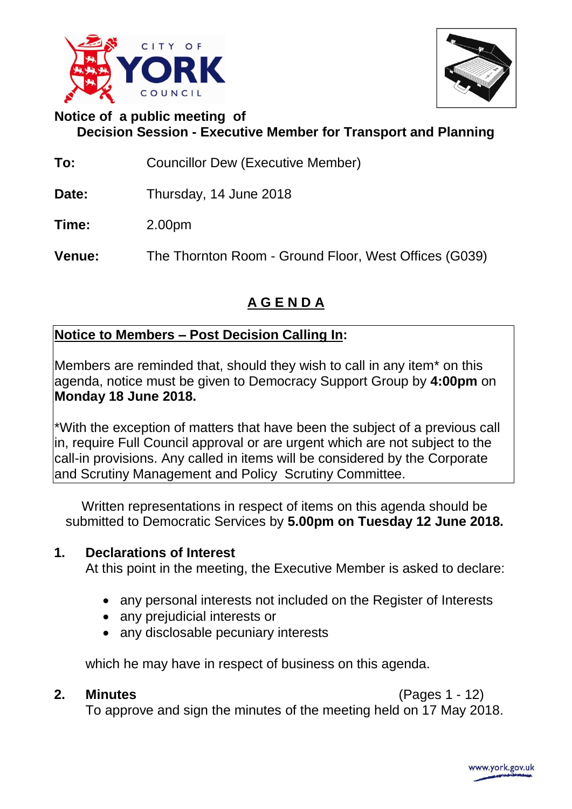



# **Notice of a public meeting of Decision Session - Executive Member for Transport and Planning**

- **To:** Councillor Dew (Executive Member)
- **Date:** Thursday, 14 June 2018

**Time:** 2.00pm

**Venue:** The Thornton Room - Ground Floor, West Offices (G039)

# **A G E N D A**

# **Notice to Members – Post Decision Calling In:**

Members are reminded that, should they wish to call in any item\* on this agenda, notice must be given to Democracy Support Group by **4:00pm** on **Monday 18 June 2018.**

\*With the exception of matters that have been the subject of a previous call in, require Full Council approval or are urgent which are not subject to the call-in provisions. Any called in items will be considered by the Corporate and Scrutiny Management and Policy Scrutiny Committee.

Written representations in respect of items on this agenda should be submitted to Democratic Services by **5.00pm on Tuesday 12 June 2018.**

# **1. Declarations of Interest**

At this point in the meeting, the Executive Member is asked to declare:

- any personal interests not included on the Register of Interests
- any prejudicial interests or
- any disclosable pecuniary interests

which he may have in respect of business on this agenda.

**2. Minutes** (Pages 1 - 12)

To approve and sign the minutes of the meeting held on 17 May 2018.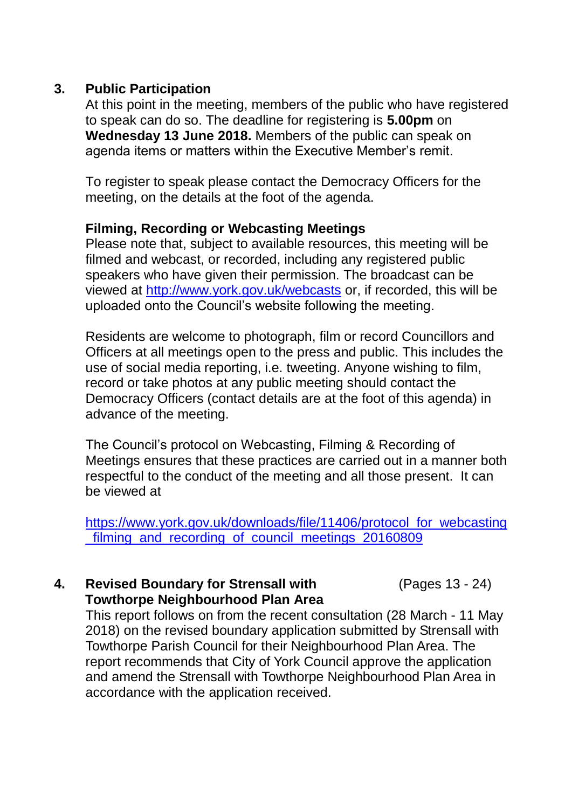### **3. Public Participation**

At this point in the meeting, members of the public who have registered to speak can do so. The deadline for registering is **5.00pm** on **Wednesday 13 June 2018.** Members of the public can speak on agenda items or matters within the Executive Member's remit.

To register to speak please contact the Democracy Officers for the meeting, on the details at the foot of the agenda.

### **Filming, Recording or Webcasting Meetings**

Please note that, subject to available resources, this meeting will be filmed and webcast, or recorded, including any registered public speakers who have given their permission. The broadcast can be viewed at<http://www.york.gov.uk/webcasts> or, if recorded, this will be uploaded onto the Council's website following the meeting.

Residents are welcome to photograph, film or record Councillors and Officers at all meetings open to the press and public. This includes the use of social media reporting, i.e. tweeting. Anyone wishing to film, record or take photos at any public meeting should contact the Democracy Officers (contact details are at the foot of this agenda) in advance of the meeting.

The Council's protocol on Webcasting, Filming & Recording of Meetings ensures that these practices are carried out in a manner both respectful to the conduct of the meeting and all those present. It can be viewed at

[https://www.york.gov.uk/downloads/file/11406/protocol\\_for\\_webcasting](https://www.york.gov.uk/downloads/file/11406/protocol_for_webcasting_filming_and_recording_of_council_meetings_20160809) [\\_filming\\_and\\_recording\\_of\\_council\\_meetings\\_20160809](https://www.york.gov.uk/downloads/file/11406/protocol_for_webcasting_filming_and_recording_of_council_meetings_20160809)

### **4. Revised Boundary for Strensall with Towthorpe Neighbourhood Plan Area**

(Pages 13 - 24)

This report follows on from the recent consultation (28 March - 11 May 2018) on the revised boundary application submitted by Strensall with Towthorpe Parish Council for their Neighbourhood Plan Area. The report recommends that City of York Council approve the application and amend the Strensall with Towthorpe Neighbourhood Plan Area in accordance with the application received.